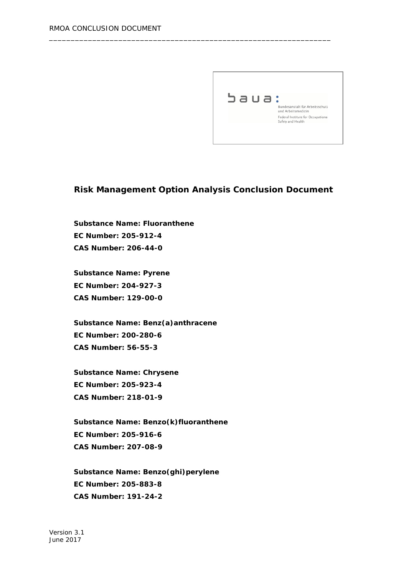

### **Risk Management Option Analysis Conclusion Document**

\_\_\_\_\_\_\_\_\_\_\_\_\_\_\_\_\_\_\_\_\_\_\_\_\_\_\_\_\_\_\_\_\_\_\_\_\_\_\_\_\_\_\_\_\_\_\_\_\_\_\_\_\_\_\_\_\_\_\_\_\_\_\_\_\_

**Substance Name: Fluoranthene EC Number: 205-912-4 CAS Number: 206-44-0**

**Substance Name: Pyrene EC Number: 204-927-3 CAS Number: 129-00-0**

**Substance Name: Benz(a)anthracene EC Number: 200-280-6 CAS Number: 56-55-3**

**Substance Name: Chrysene EC Number: 205-923-4 CAS Number: 218-01-9**

**Substance Name: Benzo(k)fluoranthene EC Number: 205-916-6 CAS Number: 207-08-9**

**Substance Name: Benzo(ghi)perylene EC Number: 205-883-8 CAS Number: 191-24-2**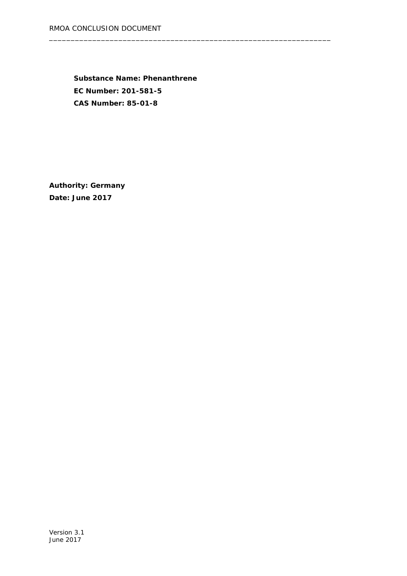**Substance Name: Phenanthrene EC Number: 201-581-5 CAS Number: 85-01-8**

\_\_\_\_\_\_\_\_\_\_\_\_\_\_\_\_\_\_\_\_\_\_\_\_\_\_\_\_\_\_\_\_\_\_\_\_\_\_\_\_\_\_\_\_\_\_\_\_\_\_\_\_\_\_\_\_\_\_\_\_\_\_\_\_\_

**Authority: Germany Date: June 2017**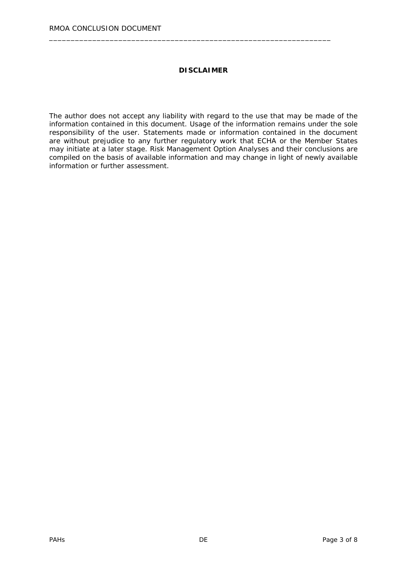#### **DISCLAIMER**

\_\_\_\_\_\_\_\_\_\_\_\_\_\_\_\_\_\_\_\_\_\_\_\_\_\_\_\_\_\_\_\_\_\_\_\_\_\_\_\_\_\_\_\_\_\_\_\_\_\_\_\_\_\_\_\_\_\_\_\_\_\_\_\_\_

The author does not accept any liability with regard to the use that may be made of the information contained in this document. Usage of the information remains under the sole responsibility of the user. Statements made or information contained in the document are without prejudice to any further regulatory work that ECHA or the Member States may initiate at a later stage. Risk Management Option Analyses and their conclusions are compiled on the basis of available information and may change in light of newly available information or further assessment.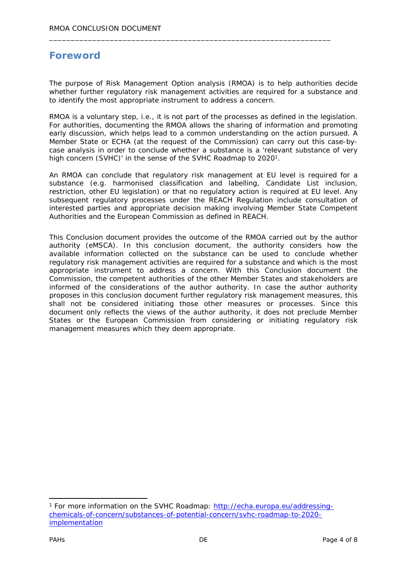# **Foreword**

The purpose of Risk Management Option analysis (RMOA) is to help authorities decide whether further regulatory risk management activities are required for a substance and to identify the most appropriate instrument to address a concern.

\_\_\_\_\_\_\_\_\_\_\_\_\_\_\_\_\_\_\_\_\_\_\_\_\_\_\_\_\_\_\_\_\_\_\_\_\_\_\_\_\_\_\_\_\_\_\_\_\_\_\_\_\_\_\_\_\_\_\_\_\_\_\_\_\_

RMOA is a voluntary step, i.e., it is not part of the processes as defined in the legislation. For authorities, documenting the RMOA allows the sharing of information and promoting early discussion, which helps lead to a common understanding on the action pursued. A Member State or ECHA (at the request of the Commission) can carry out this case-bycase analysis in order to conclude whether a substance is a 'relevant substance of very high concern (SVHC)' in the sense of the SVHC Roadmap to 2020<sup>1</sup>.

An RMOA can conclude that regulatory risk management at EU level is required for a substance (e.g. harmonised classification and labelling, Candidate List inclusion, restriction, other EU legislation) or that no regulatory action is required at EU level. Any subsequent regulatory processes under the REACH Regulation include consultation of interested parties and appropriate decision making involving Member State Competent Authorities and the European Commission as defined in REACH.

This Conclusion document provides the outcome of the RMOA carried out by the author authority (eMSCA). In this conclusion document, the authority considers how the available information collected on the substance can be used to conclude whether regulatory risk management activities are required for a substance and which is the most appropriate instrument to address a concern. With this Conclusion document the Commission, the competent authorities of the other Member States and stakeholders are informed of the considerations of the author authority. In case the author authority proposes in this conclusion document further regulatory risk management measures, this shall not be considered initiating those other measures or processes. Since this document only reflects the views of the author authority, it does not preclude Member States or the European Commission from considering or initiating regulatory risk management measures which they deem appropriate.

<sup>1</sup> For more information on the SVHC Roadmap: [http://echa.europa.eu/addressing](http://echa.europa.eu/addressing-chemicals-of-concern/substances-of-potential-concern/svhc-roadmap-to-2020-implementation)[chemicals-of-concern/substances-of-potential-concern/svhc-roadmap-to-2020](http://echa.europa.eu/addressing-chemicals-of-concern/substances-of-potential-concern/svhc-roadmap-to-2020-implementation) [implementation](http://echa.europa.eu/addressing-chemicals-of-concern/substances-of-potential-concern/svhc-roadmap-to-2020-implementation)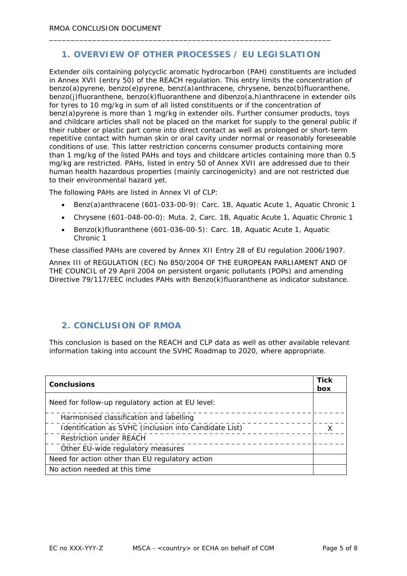### **1. OVERVIEW OF OTHER PROCESSES / EU LEGISLATION**

\_\_\_\_\_\_\_\_\_\_\_\_\_\_\_\_\_\_\_\_\_\_\_\_\_\_\_\_\_\_\_\_\_\_\_\_\_\_\_\_\_\_\_\_\_\_\_\_\_\_\_\_\_\_\_\_\_\_\_\_\_\_\_\_\_

Extender oils containing polycyclic aromatic hydrocarbon (PAH) constituents are included in Annex XVII (entry 50) of the REACH regulation. This entry limits the concentration of benzo(a)pyrene, benzo(e)pyrene, benz(a)anthracene, chrysene, benzo(b)fluoranthene, benzo(j)fluoranthene, benzo(k)fluoranthene and dibenzo(a,h)anthracene in extender oils for tyres to 10 mg/kg in sum of all listed constituents or if the concentration of benz(a)pyrene is more than 1 mg/kg in extender oils. Further consumer products, toys and childcare articles shall not be placed on the market for supply to the general public if their rubber or plastic part come into direct contact as well as prolonged or short-term repetitive contact with human skin or oral cavity under normal or reasonably foreseeable conditions of use. This latter restriction concerns consumer products containing more than 1 mg/kg of the listed PAHs and toys and childcare articles containing more than 0.5 mg/kg are restricted. PAHs, listed in entry 50 of Annex XVII are addressed due to their human health hazardous properties (mainly carcinogenicity) and are not restricted due to their environmental hazard yet.

The following PAHs are listed in Annex VI of CLP:

- Benz(a)anthracene (601-033-00-9): Carc. 1B, Aquatic Acute 1, Aquatic Chronic 1
- Chrysene (601-048-00-0): Muta. 2, Carc. 1B, Aquatic Acute 1, Aquatic Chronic 1
- Benzo(k)fluoranthene (601-036-00-5): Carc. 1B, Aquatic Acute 1, Aquatic Chronic 1

These classified PAHs are covered by Annex XII Entry 28 of EU regulation 2006/1907.

Annex III of REGULATION (EC) No 850/2004 OF THE EUROPEAN PARLIAMENT AND OF THE COUNCIL of 29 April 2004 on persistent organic pollutants (POPs) and amending Directive 79/117/EEC includes PAHs with Benzo(k)fluoranthene as indicator substance.

#### **2. CONCLUSION OF RMOA**

This conclusion is based on the REACH and CLP data as well as other available relevant information taking into account the SVHC Roadmap to 2020, where appropriate.

| Conclusions                                            |  |
|--------------------------------------------------------|--|
|                                                        |  |
| Harmonised classification and labelling                |  |
| Identification as SVHC (inclusion into Candidate List) |  |
| <b>Restriction under REACH</b>                         |  |
| Other EU-wide regulatory measures                      |  |
| Need for action other than EU regulatory action        |  |
| No action needed at this time                          |  |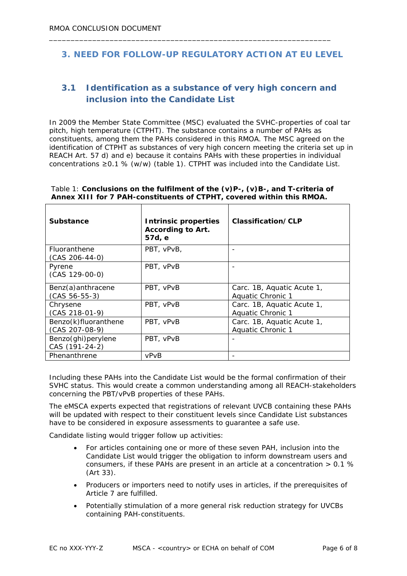### **3. NEED FOR FOLLOW-UP REGULATORY ACTION AT EU LEVEL**

\_\_\_\_\_\_\_\_\_\_\_\_\_\_\_\_\_\_\_\_\_\_\_\_\_\_\_\_\_\_\_\_\_\_\_\_\_\_\_\_\_\_\_\_\_\_\_\_\_\_\_\_\_\_\_\_\_\_\_\_\_\_\_\_\_

## **3.1 Identification as a substance of very high concern and inclusion into the Candidate List**

In 2009 the Member State Committee (MSC) evaluated the SVHC-properties of coal tar pitch, high temperature (CTPHT). The substance contains a number of PAHs as constituents, among them the PAHs considered in this RMOA. The MSC agreed on the identification of CTPHT as substances of very high concern meeting the criteria set up in REACH Art. 57 d) and e) because it contains PAHs with these properties in individual concentrations ≥0.1 % (w/w) (table 1). CTPHT was included into the Candidate List.

Table 1: **Conclusions on the fulfilment of the (v)P-, (v)B-, and T-criteria of Annex XIII for 7 PAH-constituents of CTPHT, covered within this RMOA.**

| Substance                                | Intrinsic properties<br>According to Art.<br>57d, e | Classification/CLP                              |
|------------------------------------------|-----------------------------------------------------|-------------------------------------------------|
| Fluoranthene<br>$(CAS 206-44-0)$         | PBT, vPvB,                                          |                                                 |
| Pyrene<br>$(CAS 129-00-0)$               | PBT, vPvB                                           |                                                 |
| Benz(a) anthracene<br>$(CAS 56-55-3)$    | PBT, vPvB                                           | Carc. 1B, Aquatic Acute 1,<br>Aquatic Chronic 1 |
| Chrysene<br>$(CAS 218-01-9)$             | PBT, vPvB                                           | Carc. 1B, Aquatic Acute 1,<br>Aquatic Chronic 1 |
| Benzo(k)fluoranthene<br>$(CAS 207-08-9)$ | PBT, vPvB                                           | Carc. 1B, Aquatic Acute 1,<br>Aquatic Chronic 1 |
| Benzo(ghi)perylene<br>CAS (191-24-2)     | PBT, vPvB                                           |                                                 |
| Phenanthrene                             | vPvB                                                |                                                 |

Including these PAHs into the Candidate List would be the formal confirmation of their SVHC status. This would create a common understanding among all REACH-stakeholders concerning the PBT/vPvB properties of these PAHs.

The eMSCA experts expected that registrations of relevant UVCB containing these PAHs will be updated with respect to their constituent levels since Candidate List substances have to be considered in exposure assessments to guarantee a safe use.

Candidate listing would trigger follow up activities:

- For articles containing one or more of these seven PAH, inclusion into the Candidate List would trigger the obligation to inform downstream users and consumers, if these PAHs are present in an article at a concentration  $> 0.1$  % (Art 33).
- Producers or importers need to notify uses in articles, if the prerequisites of Article 7 are fulfilled.
- Potentially stimulation of a more general risk reduction strategy for UVCBs containing PAH-constituents.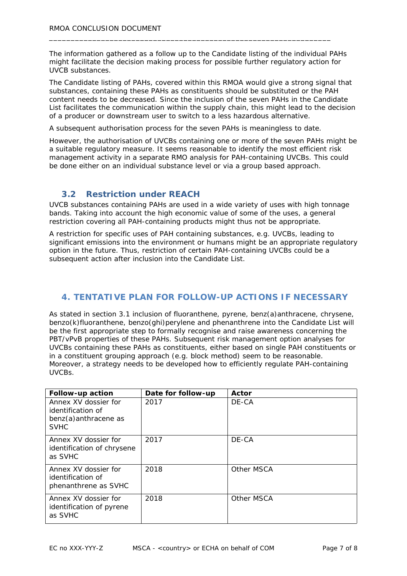The information gathered as a follow up to the Candidate listing of the individual PAHs might facilitate the decision making process for possible further regulatory action for UVCB substances.

\_\_\_\_\_\_\_\_\_\_\_\_\_\_\_\_\_\_\_\_\_\_\_\_\_\_\_\_\_\_\_\_\_\_\_\_\_\_\_\_\_\_\_\_\_\_\_\_\_\_\_\_\_\_\_\_\_\_\_\_\_\_\_\_\_

The Candidate listing of PAHs, covered within this RMOA would give a strong signal that substances, containing these PAHs as constituents should be substituted or the PAH content needs to be decreased. Since the inclusion of the seven PAHs in the Candidate List facilitates the communication within the supply chain, this might lead to the decision of a producer or downstream user to switch to a less hazardous alternative.

A subsequent authorisation process for the seven PAHs is meaningless to date.

However, the authorisation of UVCBs containing one or more of the seven PAHs might be a suitable regulatory measure. It seems reasonable to identify the most efficient risk management activity in a separate RMO analysis for PAH-containing UVCBs. This could be done either on an individual substance level or via a group based approach.

#### **3.2 Restriction under REACH**

UVCB substances containing PAHs are used in a wide variety of uses with high tonnage bands. Taking into account the high economic value of some of the uses, a general restriction covering all PAH-containing products might thus not be appropriate.

A restriction for specific uses of PAH containing substances, e.g. UVCBs, leading to significant emissions into the environment or humans might be an appropriate regulatory option in the future. Thus, restriction of certain PAH-containing UVCBs could be a subsequent action after inclusion into the Candidate List.

#### **4. TENTATIVE PLAN FOR FOLLOW-UP ACTIONS IF NECESSARY**

As stated in section 3.1 inclusion of fluoranthene, pyrene, benz(a)anthracene, chrysene, benzo(k)fluoranthene, benzo(ghi)perylene and phenanthrene into the Candidate List will be the first appropriate step to formally recognise and raise awareness concerning the PBT/vPvB properties of these PAHs. Subsequent risk management option analyses for UVCBs containing these PAHs as constituents, either based on single PAH constituents or in a constituent grouping approach (e.g. block method) seem to be reasonable. Moreover, a strategy needs to be developed how to efficiently regulate PAH-containing UVCBs.

| Follow-up action                                                                  | Date for follow-up | Actor      |
|-----------------------------------------------------------------------------------|--------------------|------------|
| Annex XV dossier for<br>identification of<br>benz(a) anthracene as<br><b>SVHC</b> | 2017               | DE-CA      |
| Annex XV dossier for<br>identification of chrysene<br>as SVHC                     | 2017               | DE-CA      |
| Annex XV dossier for<br>identification of<br>phenanthrene as SVHC                 | 2018               | Other MSCA |
| Annex XV dossier for<br>identification of pyrene<br>as SVHC                       | 2018               | Other MSCA |